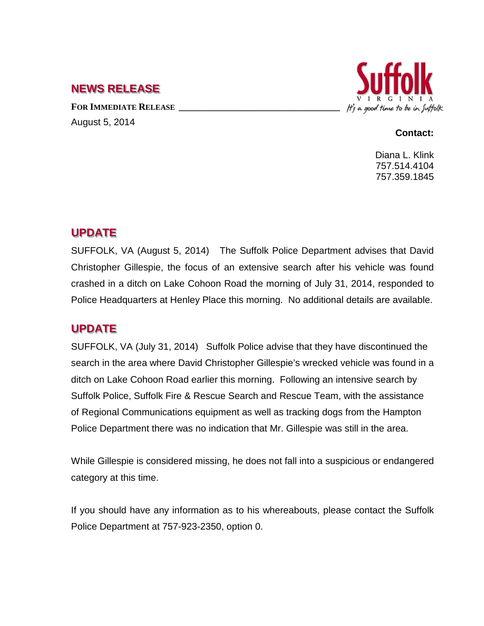## **NEWS RELEASE**

FOR **IMMEDIATE RELEASE** August 5, 2014



### **Contact:**

Diana L. Klink 757.514.4104 757.359.1845

### **UPDATE**

SUFFOLK, VA (August 5, 2014) The Suffolk Police Department advises that David Christopher Gillespie, the focus of an extensive search after his vehicle was found crashed in a ditch on Lake Cohoon Road the morning of July 31, 2014, responded to Police Headquarters at Henley Place this morning. No additional details are available.

# **UPDATE**

SUFFOLK, VA (July 31, 2014) Suffolk Police advise that they have discontinued the search in the area where David Christopher Gillespie's wrecked vehicle was found in a ditch on Lake Cohoon Road earlier this morning. Following an intensive search by Suffolk Police, Suffolk Fire & Rescue Search and Rescue Team, with the assistance of Regional Communications equipment as well as tracking dogs from the Hampton Police Department there was no indication that Mr. Gillespie was still in the area.

While Gillespie is considered missing, he does not fall into a suspicious or endangered category at this time.

If you should have any information as to his whereabouts, please contact the Suffolk Police Department at 757-923-2350, option 0.